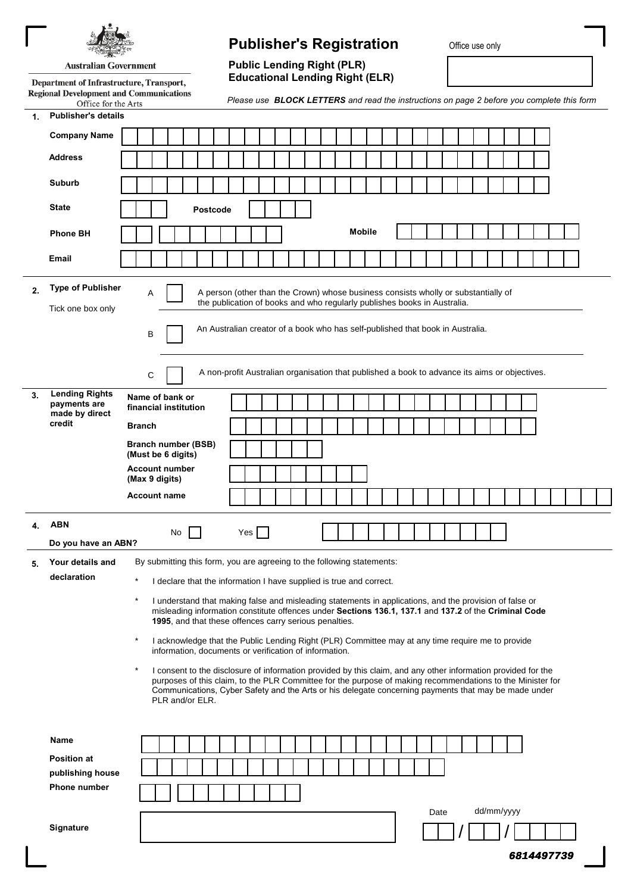|                                                                          |                                                                                                          |                            | <b>Publisher's Registration</b>                                                                                                                                                                                                                  | Office use only    |
|--------------------------------------------------------------------------|----------------------------------------------------------------------------------------------------------|----------------------------|--------------------------------------------------------------------------------------------------------------------------------------------------------------------------------------------------------------------------------------------------|--------------------|
| <b>Australian Government</b><br>Department of Infrastructure, Transport, |                                                                                                          |                            | <b>Public Lending Right (PLR)</b>                                                                                                                                                                                                                |                    |
|                                                                          |                                                                                                          |                            | <b>Educational Lending Right (ELR)</b>                                                                                                                                                                                                           |                    |
|                                                                          | <b>Regional Development and Communications</b><br>Office for the Arts                                    |                            | Please use <b>BLOCK LETTERS</b> and read the instructions on page 2 before you complete this form                                                                                                                                                |                    |
| 1.                                                                       | <b>Publisher's details</b>                                                                               |                            |                                                                                                                                                                                                                                                  |                    |
|                                                                          | <b>Company Name</b>                                                                                      |                            |                                                                                                                                                                                                                                                  |                    |
|                                                                          | <b>Address</b>                                                                                           |                            |                                                                                                                                                                                                                                                  |                    |
|                                                                          | Suburb                                                                                                   |                            |                                                                                                                                                                                                                                                  |                    |
|                                                                          | <b>State</b>                                                                                             | <b>Postcode</b>            |                                                                                                                                                                                                                                                  |                    |
|                                                                          | <b>Phone BH</b>                                                                                          |                            | <b>Mobile</b>                                                                                                                                                                                                                                    |                    |
|                                                                          | <b>Email</b>                                                                                             |                            |                                                                                                                                                                                                                                                  |                    |
|                                                                          |                                                                                                          |                            |                                                                                                                                                                                                                                                  |                    |
| 2.                                                                       | <b>Type of Publisher</b><br>Tick one box only                                                            | Α<br>B                     | A person (other than the Crown) whose business consists wholly or substantially of<br>the publication of books and who regularly publishes books in Australia.<br>An Australian creator of a book who has self-published that book in Australia. |                    |
|                                                                          |                                                                                                          | С                          | A non-profit Australian organisation that published a book to advance its aims or objectives.                                                                                                                                                    |                    |
| 3.                                                                       | <b>Lending Rights</b><br>payments are<br>made by direct<br>credit<br><b>Branch</b><br>(Must be 6 digits) | Name of bank or            |                                                                                                                                                                                                                                                  |                    |
|                                                                          |                                                                                                          | financial institution      |                                                                                                                                                                                                                                                  |                    |
|                                                                          |                                                                                                          | <b>Branch number (BSB)</b> |                                                                                                                                                                                                                                                  |                    |
|                                                                          |                                                                                                          | <b>Account number</b>      |                                                                                                                                                                                                                                                  |                    |
|                                                                          |                                                                                                          | (Max 9 digits)             |                                                                                                                                                                                                                                                  |                    |
|                                                                          |                                                                                                          | <b>Account name</b>        |                                                                                                                                                                                                                                                  |                    |
| 4.                                                                       | <b>ABN</b><br>Do you have an ABN?                                                                        | No                         | $Yes$                                                                                                                                                                                                                                            |                    |
| 5.                                                                       | Your details and                                                                                         |                            | By submitting this form, you are agreeing to the following statements:                                                                                                                                                                           |                    |
|                                                                          | declaration                                                                                              | $\ast$                     | I declare that the information I have supplied is true and correct.                                                                                                                                                                              |                    |
|                                                                          |                                                                                                          | $\star$                    | I understand that making false and misleading statements in applications, and the provision of false or                                                                                                                                          |                    |
|                                                                          |                                                                                                          |                            | misleading information constitute offences under Sections 136.1, 137.1 and 137.2 of the Criminal Code<br>1995, and that these offences carry serious penalties.                                                                                  |                    |
|                                                                          |                                                                                                          | $\star$                    | I acknowledge that the Public Lending Right (PLR) Committee may at any time require me to provide<br>information, documents or verification of information.                                                                                      |                    |
|                                                                          |                                                                                                          | $\star$                    | I consent to the disclosure of information provided by this claim, and any other information provided for the                                                                                                                                    |                    |
|                                                                          |                                                                                                          | PLR and/or ELR.            | purposes of this claim, to the PLR Committee for the purpose of making recommendations to the Minister for<br>Communications, Cyber Safety and the Arts or his delegate concerning payments that may be made under                               |                    |
|                                                                          | Name                                                                                                     |                            |                                                                                                                                                                                                                                                  |                    |
|                                                                          | <b>Position at</b>                                                                                       |                            |                                                                                                                                                                                                                                                  |                    |
|                                                                          | publishing house                                                                                         |                            |                                                                                                                                                                                                                                                  |                    |
|                                                                          |                                                                                                          |                            |                                                                                                                                                                                                                                                  |                    |
|                                                                          | <b>Phone number</b>                                                                                      |                            |                                                                                                                                                                                                                                                  |                    |
|                                                                          | Signature                                                                                                |                            |                                                                                                                                                                                                                                                  | dd/mm/yyyy<br>Date |